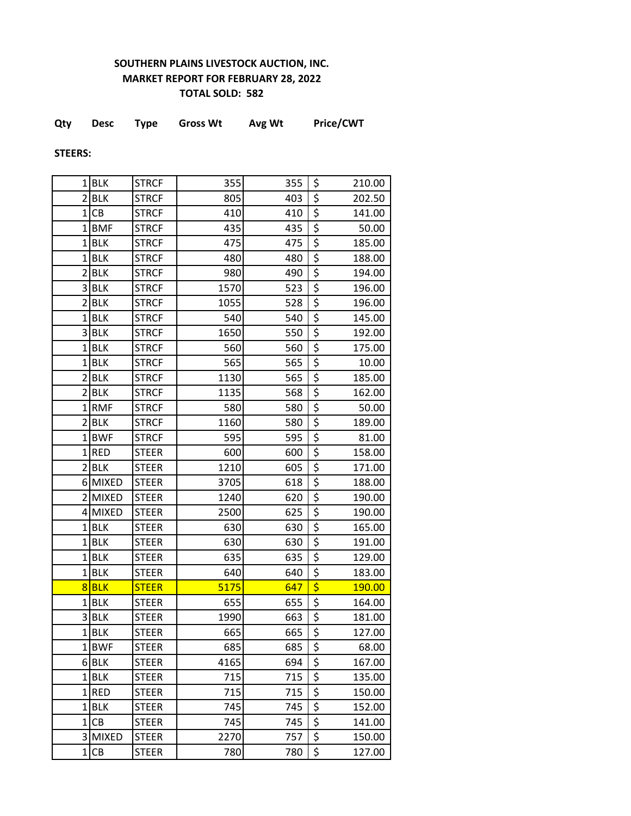## **SOUTHERN PLAINS LIVESTOCK AUCTION, INC. MARKET REPORT FOR FEBRUARY 28, 2022 TOTAL SOLD: 582**

|  | Qty | <b>Desc</b> | Type | <b>Gross Wt</b> | Avg Wt | <b>Price/CWT</b> |
|--|-----|-------------|------|-----------------|--------|------------------|
|--|-----|-------------|------|-----------------|--------|------------------|

**STEERS:**

|                | $1$ BLK    | <b>STRCF</b> | 355  | 355 | \$                              | 210.00 |
|----------------|------------|--------------|------|-----|---------------------------------|--------|
|                | $2$ $BLK$  | <b>STRCF</b> | 805  | 403 | \$                              | 202.50 |
| $1\vert$       | CB         | <b>STRCF</b> | 410  | 410 | \$                              | 141.00 |
| $\mathbf{1}$   | <b>BMF</b> | <b>STRCF</b> | 435  | 435 | \$                              | 50.00  |
|                | $1$ BLK    | <b>STRCF</b> | 475  | 475 | \$                              | 185.00 |
| $\mathbf 1$    | <b>BLK</b> | <b>STRCF</b> | 480  | 480 | \$                              | 188.00 |
|                | $2$ $BLK$  | <b>STRCF</b> | 980  | 490 | \$                              | 194.00 |
|                | 3BLK       | <b>STRCF</b> | 1570 | 523 | \$                              | 196.00 |
|                | 2 BLK      | <b>STRCF</b> | 1055 | 528 | \$                              | 196.00 |
|                | $1$ BLK    | <b>STRCF</b> | 540  | 540 | \$                              | 145.00 |
|                | 3BLK       | <b>STRCF</b> | 1650 | 550 | \$                              | 192.00 |
|                | $1$ BLK    | <b>STRCF</b> | 560  | 560 | \$                              | 175.00 |
|                | $1$ BLK    | <b>STRCF</b> | 565  | 565 | \$                              | 10.00  |
|                | $2$ BLK    | <b>STRCF</b> | 1130 | 565 | \$                              | 185.00 |
| $\overline{2}$ | <b>BLK</b> | <b>STRCF</b> | 1135 | 568 | \$                              | 162.00 |
| $\mathbf{1}$   | <b>RMF</b> | <b>STRCF</b> | 580  | 580 | \$                              | 50.00  |
|                | 2 BLK      | <b>STRCF</b> | 1160 | 580 | \$                              | 189.00 |
| 1              | <b>BWF</b> | <b>STRCF</b> | 595  | 595 | \$                              | 81.00  |
|                | $1$ RED    | <b>STEER</b> | 600  | 600 | \$                              | 158.00 |
| $\overline{2}$ | <b>BLK</b> | <b>STEER</b> | 1210 | 605 | \$                              | 171.00 |
|                | 6 MIXED    | <b>STEER</b> | 3705 | 618 | \$                              | 188.00 |
|                | 2 MIXED    | <b>STEER</b> | 1240 | 620 | \$                              | 190.00 |
|                | 4 MIXED    | <b>STEER</b> | 2500 | 625 | \$                              | 190.00 |
|                | $1$ BLK    | <b>STEER</b> | 630  | 630 | \$                              | 165.00 |
| $\mathbf 1$    | <b>BLK</b> | <b>STEER</b> | 630  | 630 | \$                              | 191.00 |
|                | $1$ BLK    | <b>STEER</b> | 635  | 635 | \$                              | 129.00 |
|                | $1$ BLK    | <b>STEER</b> | 640  | 640 | \$                              | 183.00 |
|                | 8BLK       | <b>STEER</b> | 5175 | 647 | \$                              | 190.00 |
|                | $1$ BLK    | <b>STEER</b> | 655  | 655 | \$                              | 164.00 |
| 3              | <b>BLK</b> | <b>STEER</b> | 1990 | 663 | $\overline{\boldsymbol{\zeta}}$ | 181.00 |
|                | $1$ BLK    | <b>STEER</b> | 665  | 665 | \$                              | 127.00 |
|                | 1BWF       | <b>STEER</b> | 685  | 685 | \$                              | 68.00  |
|                | 6BLK       | <b>STEER</b> | 4165 | 694 | \$                              | 167.00 |
|                | $1$ BLK    | <b>STEER</b> | 715  | 715 | \$                              | 135.00 |
|                | $1$ RED    | <b>STEER</b> | 715  | 715 | \$                              | 150.00 |
|                | $1$ BLK    | <b>STEER</b> | 745  | 745 | \$                              | 152.00 |
|                | 1 CB       | <b>STEER</b> | 745  | 745 | \$                              | 141.00 |
|                | 3 MIXED    | <b>STEER</b> | 2270 | 757 | \$                              | 150.00 |
|                | 1 CB       | <b>STEER</b> | 780  | 780 | \$                              | 127.00 |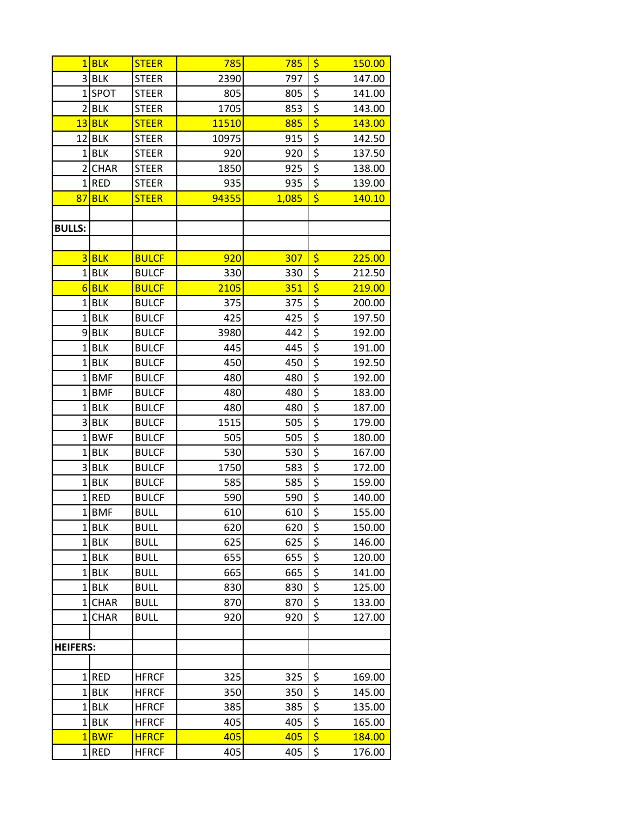|                         | $1$ BLK            | <b>STEER</b> | 785   | 785   | \$                                  | 150.00 |
|-------------------------|--------------------|--------------|-------|-------|-------------------------------------|--------|
|                         | 3BLK               | <b>STEER</b> | 2390  | 797   | $\overline{\xi}$                    | 147.00 |
| $1\vert$                | <b>SPOT</b>        | <b>STEER</b> | 805   | 805   | $\overline{\xi}$                    | 141.00 |
| $\overline{2}$          | <b>BLK</b>         | <b>STEER</b> | 1705  | 853   | $\overline{\xi}$                    | 143.00 |
| 13                      | <b>BLK</b>         | <b>STEER</b> | 11510 | 885   | $\overline{\boldsymbol{\varsigma}}$ | 143.00 |
| 12                      | <b>BLK</b>         | <b>STEER</b> | 10975 | 915   | $\overline{\xi}$                    | 142.50 |
| $1\vert$                | <b>BLK</b>         | <b>STEER</b> | 920   | 920   | $\overline{\xi}$                    | 137.50 |
| $\overline{2}$          | <b>CHAR</b>        | <b>STEER</b> | 1850  | 925   | $\overline{\xi}$                    | 138.00 |
| $1\vert$                | <b>RED</b>         | <b>STEER</b> | 935   | 935   | \$                                  | 139.00 |
| 87                      | <b>BLK</b>         | <b>STEER</b> | 94355 | 1,085 | $\overline{\boldsymbol{\varsigma}}$ | 140.10 |
|                         |                    |              |       |       |                                     |        |
| <b>BULLS:</b>           |                    |              |       |       |                                     |        |
|                         |                    |              |       |       |                                     |        |
|                         | $3$ BLK            | <b>BULCF</b> | 920   | 307   | \$                                  | 225.00 |
|                         | $1$ BLK            | <b>BULCF</b> | 330   | 330   | $\overline{\xi}$                    | 212.50 |
|                         | $6$ BLK            | <b>BULCF</b> | 2105  | 351   | $\overline{\boldsymbol{\varsigma}}$ | 219.00 |
|                         | $1$ BLK            | <b>BULCF</b> | 375   | 375   | $\overline{\xi}$                    | 200.00 |
|                         | $1$ BLK            | <b>BULCF</b> | 425   | 425   | $\overline{\xi}$                    | 197.50 |
|                         | 9BLK               | <b>BULCF</b> | 3980  | 442   | $\overline{\xi}$                    | 192.00 |
| 1                       | <b>BLK</b>         | <b>BULCF</b> | 445   | 445   | $\overline{\boldsymbol{\varsigma}}$ | 191.00 |
|                         | $1$ BLK            | <b>BULCF</b> | 450   | 450   | $\overline{\xi}$                    | 192.50 |
| $1\vert$                | <b>BMF</b>         | <b>BULCF</b> | 480   | 480   | $\overline{\xi}$                    | 192.00 |
|                         | 1BMF               | <b>BULCF</b> | 480   | 480   | $\overline{\xi}$                    | 183.00 |
|                         | $1$ BLK            | <b>BULCF</b> | 480   | 480   | $\overline{\xi}$                    | 187.00 |
|                         | 3BLK               | <b>BULCF</b> | 1515  | 505   | \$                                  | 179.00 |
| $1\vert$                | <b>BWF</b>         | <b>BULCF</b> | 505   | 505   | $\overline{\xi}$                    | 180.00 |
| $\mathbf{1}$            | <b>BLK</b>         | <b>BULCF</b> | 530   | 530   | \$                                  | 167.00 |
| $\overline{\mathbf{3}}$ | <b>BLK</b>         | <b>BULCF</b> | 1750  | 583   | $\overline{\xi}$                    | 172.00 |
| $\overline{1}$          | <b>BLK</b>         | <b>BULCF</b> | 585   | 585   | \$                                  | 159.00 |
| $1\vert$                | <b>RED</b>         | <b>BULCF</b> | 590   | 590   | $\overline{\boldsymbol{\zeta}}$     | 140.00 |
|                         | 1BMF               | <b>BULL</b>  | 610   | 610   | $\overline{\varsigma}$              | 155.00 |
|                         | 1BLK               | <b>BULL</b>  | 620   | 620   | \$                                  | 150.00 |
|                         | $1$ BLK            | <b>BULL</b>  | 625   | 625   | \$                                  | 146.00 |
|                         | $1$ BLK            | <b>BULL</b>  | 655   | 655   | $\overline{\xi}$                    | 120.00 |
|                         | $1$ BLK            | <b>BULL</b>  | 665   | 665   | \$                                  | 141.00 |
|                         | 1BLK               | <b>BULL</b>  | 830   | 830   | $\overline{\xi}$                    | 125.00 |
|                         | 1CHAR              | <b>BULL</b>  | 870   | 870   | $\overline{\xi}$                    | 133.00 |
|                         | 1CHAR              | <b>BULL</b>  | 920   | 920   | \$                                  | 127.00 |
|                         |                    |              |       |       |                                     |        |
| <b>HEIFERS:</b>         |                    |              |       |       |                                     |        |
|                         |                    |              |       |       |                                     |        |
|                         | $1$ RED            | <b>HFRCF</b> | 325   | 325   | \$                                  | 169.00 |
|                         | $1$ BLK            | <b>HFRCF</b> | 350   | 350   | \$                                  | 145.00 |
|                         | $1$ BLK<br>$1$ BLK | <b>HFRCF</b> | 385   | 385   | $\overline{\xi}$<br>\$              | 135.00 |
|                         |                    | <b>HFRCF</b> | 405   | 405   | \$                                  | 165.00 |
|                         | 1BWF               | <b>HFRCF</b> | 405   | 405   |                                     | 184.00 |
|                         | $1$ RED            | <b>HFRCF</b> | 405   | 405   | \$                                  | 176.00 |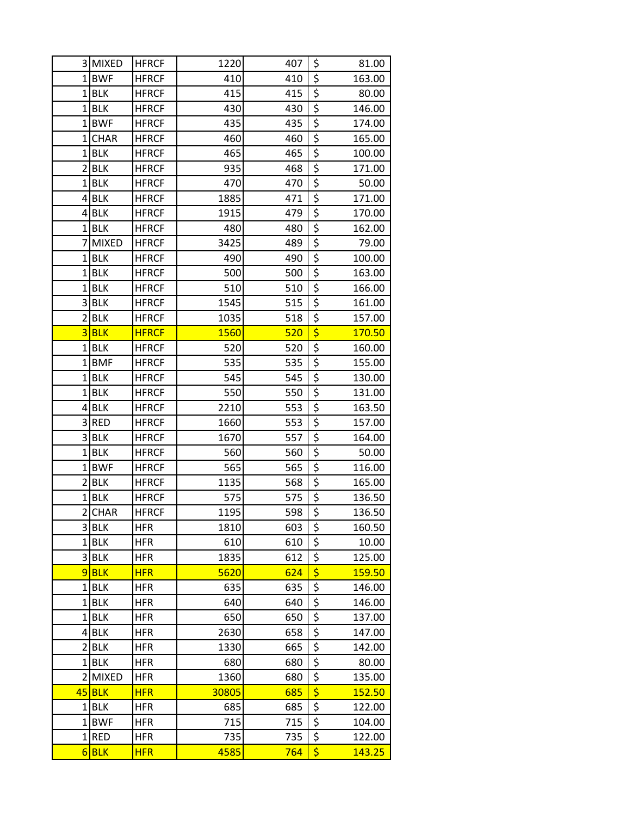|                         | 3 MIXED           | <b>HFRCF</b> | 1220       | 407        | \$                                        | 81.00         |
|-------------------------|-------------------|--------------|------------|------------|-------------------------------------------|---------------|
|                         | 1BWF              | <b>HFRCF</b> | 410        | 410        | $\overline{\xi}$                          | 163.00        |
| $\mathbf{1}$            | <b>BLK</b>        | <b>HFRCF</b> | 415        | 415        | $\overline{\xi}$                          | 80.00         |
| $\mathbf{1}$            | <b>BLK</b>        | <b>HFRCF</b> | 430        | 430        | \$                                        | 146.00        |
| $\mathbf{1}$            | <b>BWF</b>        | <b>HFRCF</b> | 435        | 435        | \$                                        | 174.00        |
| 1                       | <b>CHAR</b>       | <b>HFRCF</b> | 460        | 460        | $\overline{\xi}$                          | 165.00        |
| $\mathbf{1}$            | BLK               | <b>HFRCF</b> | 465        | 465        | \$                                        | 100.00        |
| $\overline{2}$          | <b>BLK</b>        | <b>HFRCF</b> | 935        | 468        | $\overline{\xi}$                          | 171.00        |
| 1                       | <b>BLK</b>        | <b>HFRCF</b> | 470        | 470        | \$                                        | 50.00         |
| 4                       | <b>BLK</b>        | <b>HFRCF</b> | 1885       | 471        | \$                                        | 171.00        |
|                         | $4$ BLK           | <b>HFRCF</b> | 1915       | 479        | $\overline{\xi}$                          | 170.00        |
|                         | $1$ BLK           | <b>HFRCF</b> | 480        | 480        | $\overline{\xi}$                          | 162.00        |
| 7                       | <b>MIXED</b>      | <b>HFRCF</b> | 3425       | 489        | $\overline{\xi}$                          | 79.00         |
|                         | $1$ BLK           | <b>HFRCF</b> | 490        | 490        | \$                                        | 100.00        |
| 1                       | <b>BLK</b>        | <b>HFRCF</b> | 500        | 500        | $\overline{\xi}$                          | 163.00        |
| 1                       | <b>BLK</b>        | <b>HFRCF</b> | 510        | 510        | $\overline{\boldsymbol{\zeta}}$           | 166.00        |
|                         | 3 BLK             | <b>HFRCF</b> | 1545       | 515        | $\overline{\boldsymbol{\zeta}}$           | 161.00        |
| $\overline{c}$          | <b>BLK</b>        | <b>HFRCF</b> | 1035       | 518        | $\overline{\xi}$                          | 157.00        |
| 3                       | <b>BLK</b>        | <b>HFRCF</b> | 1560       | <b>520</b> | $\overline{\boldsymbol{\varsigma}}$       | <b>170.50</b> |
| 1                       | <b>BLK</b>        | <b>HFRCF</b> | 520        | 520        | \$                                        | 160.00        |
| $\mathbf{1}$            | <b>BMF</b>        | <b>HFRCF</b> | 535        | 535        | $\overline{\boldsymbol{\zeta}}$           | 155.00        |
| $\mathbf{1}$            | <b>BLK</b>        | <b>HFRCF</b> | 545        | 545        | $\overline{\boldsymbol{\zeta}}$           | 130.00        |
| 1                       | <b>BLK</b>        | <b>HFRCF</b> | 550        | 550        | \$                                        | 131.00        |
| 4                       | <b>BLK</b>        | <b>HFRCF</b> | 2210       | 553        | $\overline{\xi}$                          | 163.50        |
| $\overline{3}$          | <b>RED</b>        | <b>HFRCF</b> | 1660       | 553        | $\overline{\xi}$                          | 157.00        |
| $\overline{\mathbf{3}}$ | <b>BLK</b>        | <b>HFRCF</b> | 1670       | 557        | $\overline{\xi}$                          | 164.00        |
| $\mathbf 1$             | <b>BLK</b>        | <b>HFRCF</b> | 560        | 560        | $\overline{\xi}$                          | 50.00         |
| 1                       | <b>BWF</b>        | <b>HFRCF</b> | 565        | 565        | $\overline{\xi}$                          | 116.00        |
| $\overline{2}$          | <b>BLK</b>        | <b>HFRCF</b> | 1135       | 568        | $\overline{\xi}$                          | 165.00        |
| 1                       | <b>BLK</b>        | <b>HFRCF</b> | 575        | 575        | \$                                        | 136.50        |
| $\overline{2}$          | <b>CHAR</b>       | <b>HFRCF</b> | 1195       | 598        | $\overline{\xi}$                          | 136.50        |
|                         | 3 BLK             | <b>HFR</b>   | 1810       | 603        | \$                                        | 160.50        |
|                         | $1$ BLK           | <b>HFR</b>   | 610        | 610        | $\overline{\boldsymbol{\zeta}}$           | 10.00         |
|                         | 3BLK              | <b>HFR</b>   | 1835       | 612        | \$                                        | 125.00        |
|                         | $9$ BLK           | <b>HFR</b>   | 5620       | 624        | \$                                        | 159.50        |
|                         | $1$ BLK           | <b>HFR</b>   | 635        | 635        | $\overline{\xi}$                          | 146.00        |
|                         | $1$ BLK           | <b>HFR</b>   | 640        | 640        | $\overline{\xi}$<br>\$                    | 146.00        |
| $\mathbf 1$             | <b>BLK</b>        | <b>HFR</b>   | 650        | 650        |                                           | 137.00        |
|                         | $4$ BLK           | <b>HFR</b>   | 2630       | 658        | $\overline{\xi}$<br>$\overline{\xi}$      | 147.00        |
| $\overline{2}$          | <b>BLK</b>        | <b>HFR</b>   | 1330       | 665        |                                           | 142.00        |
| $\mathbf{1}$            | <b>BLK</b>        | <b>HFR</b>   | 680        | 680        | $\overline{\boldsymbol{\zeta}}$           | 80.00         |
| $\overline{2}$          | <b>MIXED</b>      | <b>HFR</b>   | 1360       | 680        | \$<br>$\overline{\boldsymbol{\varsigma}}$ | 135.00        |
| 45                      | <b>BLK</b>        | <b>HFR</b>   | 30805      | 685        |                                           | 152.50        |
| 1<br>1 <sup>1</sup>     | BLK<br><b>BWF</b> | <b>HFR</b>   | 685<br>715 | 685<br>715 | \$<br>$\overline{\xi}$                    | 122.00        |
|                         |                   | <b>HFR</b>   |            |            | \$                                        | 104.00        |
| 1                       | <b>RED</b>        | <b>HFR</b>   | 735        | 735        |                                           | 122.00        |
| 6                       | <b>BLK</b>        | <b>HFR</b>   | 4585       | 764        | \$                                        | 143.25        |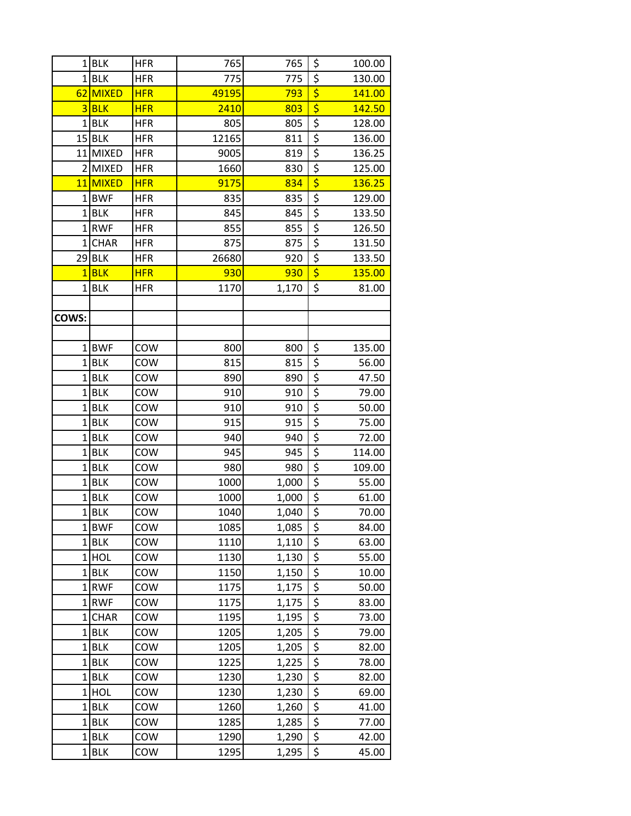|                | $1$ BLK             | <b>HFR</b> | 765          | 765            | \$                                  | 100.00         |
|----------------|---------------------|------------|--------------|----------------|-------------------------------------|----------------|
|                | $1$ BLK             | <b>HFR</b> | 775          | 775            | \$                                  | 130.00         |
| 62             | <b>MIXED</b>        | <b>HFR</b> | 49195        | 793            | $\overline{\boldsymbol{\zeta}}$     | 141.00         |
|                | $3$ BLK             | <b>HFR</b> | 2410         | 803            | $\overline{\boldsymbol{\varsigma}}$ | 142.50         |
|                | $1$ BLK             | <b>HFR</b> | 805          | 805            | $\overline{\xi}$                    | 128.00         |
|                | $15$ BLK            | <b>HFR</b> | 12165        | 811            | \$                                  | 136.00         |
|                | 11 MIXED            | <b>HFR</b> | 9005         | 819            | $\overline{\xi}$                    | 136.25         |
|                | 2 MIXED             | <b>HFR</b> | 1660         | 830            | $\overline{\xi}$                    | 125.00         |
|                | 11 MIXED            | <b>HFR</b> | 9175         | 834            | $\overline{\boldsymbol{\varsigma}}$ | 136.25         |
|                | 1BWF                | <b>HFR</b> | 835          | 835            | $\overline{\xi}$                    | 129.00         |
|                | $1$ BLK             | <b>HFR</b> | 845          | 845            | $\frac{1}{5}$                       | 133.50         |
|                | 1RWF                | <b>HFR</b> | 855          | 855            | $\overline{\xi}$                    | 126.50         |
| $\mathbf{1}$   | <b>CHAR</b>         | <b>HFR</b> | 875          | 875            | $\overline{\xi}$                    | 131.50         |
|                | $29$ BLK            | <b>HFR</b> | 26680        | 920            | $\overline{\xi}$                    | 133.50         |
| $\overline{1}$ | <b>BLK</b>          | <b>HFR</b> | 930          | 930            | $\overline{\boldsymbol{\varsigma}}$ | 135.00         |
|                | $1$ BLK             | <b>HFR</b> | 1170         | 1,170          | $\overline{\xi}$                    | 81.00          |
|                |                     |            |              |                |                                     |                |
| COWS:          |                     |            |              |                |                                     |                |
|                |                     |            |              |                |                                     |                |
|                | 1BWF                | COW        | 800          | 800            | \$                                  | 135.00         |
|                | $1$ BLK             | COW        | 815          | 815            | \$                                  | 56.00          |
| $1\vert$       | <b>BLK</b>          | COW        | 890          | 890            | $\frac{5}{5}$                       | 47.50          |
|                | $1$ BLK             | COW        | 910          | 910            |                                     | 79.00          |
|                | $1$ BLK             | COW        | 910          | 910            | \$                                  | 50.00          |
|                | $1$ BLK             | COW        | 915          | 915            | \$                                  | 75.00          |
|                | $1$ BLK             | COW        | 940          | 940            | $\overline{\xi}$                    | 72.00          |
|                | $1$ BLK             | COW        | 945          | 945            | $\overline{\xi}$                    | 114.00         |
|                | $1$ BLK             | COW        | 980          | 980            | \$                                  | 109.00         |
|                | $1$ BLK             | COW        | 1000         | 1,000          | $rac{5}{5}$                         | 55.00          |
|                | $1$ BLK             | COW        | 1000         | 1,000          |                                     | 61.00          |
|                | $1$ BLK             | COW        | 1040         | 1,040          | $\overline{\boldsymbol{\varsigma}}$ | 70.00          |
|                | 1BWF                | COW        | 1085         | 1,085          | \$                                  | 84.00          |
|                | $1$ BLK             | COW        | 1110         | 1,110          | \$                                  | 63.00          |
|                | $1$ HOL             | COW        | 1130         | 1,130          | $\overline{\xi}$                    | 55.00          |
|                | $1$ BLK             | COW        | 1150         | 1,150          | \$                                  | 10.00          |
|                | 1RWF                | COW        | 1175         | 1,175          | $\overline{\xi}$<br>\$              | 50.00          |
| 1 <sup>1</sup> | 1RWF<br><b>CHAR</b> | COW<br>COW | 1175<br>1195 | 1,175<br>1,195 | \$                                  | 83.00<br>73.00 |
|                | $1$ BLK             | COW        | 1205         | 1,205          | \$                                  | 79.00          |
|                | $1$ BLK             | COW        | 1205         | 1,205          | \$                                  | 82.00          |
| $1\vert$       | <b>BLK</b>          | COW        | 1225         | 1,225          | $\overline{\xi}$                    | 78.00          |
|                | $1$ BLK             | COW        | 1230         | 1,230          | \$                                  | 82.00          |
|                | $1$ HOL             | COW        | 1230         | 1,230          | $\overline{\xi}$                    | 69.00          |
|                | $1$ BLK             | COW        | 1260         | 1,260          | \$                                  | 41.00          |
|                | $1$ BLK             | COW        | 1285         | 1,285          | \$                                  | 77.00          |
|                | $1$ BLK             | COW        | 1290         | 1,290          | \$                                  | 42.00          |
| $1\vert$       | <b>BLK</b>          | COW        | 1295         | 1,295          | \$                                  | 45.00          |
|                |                     |            |              |                |                                     |                |